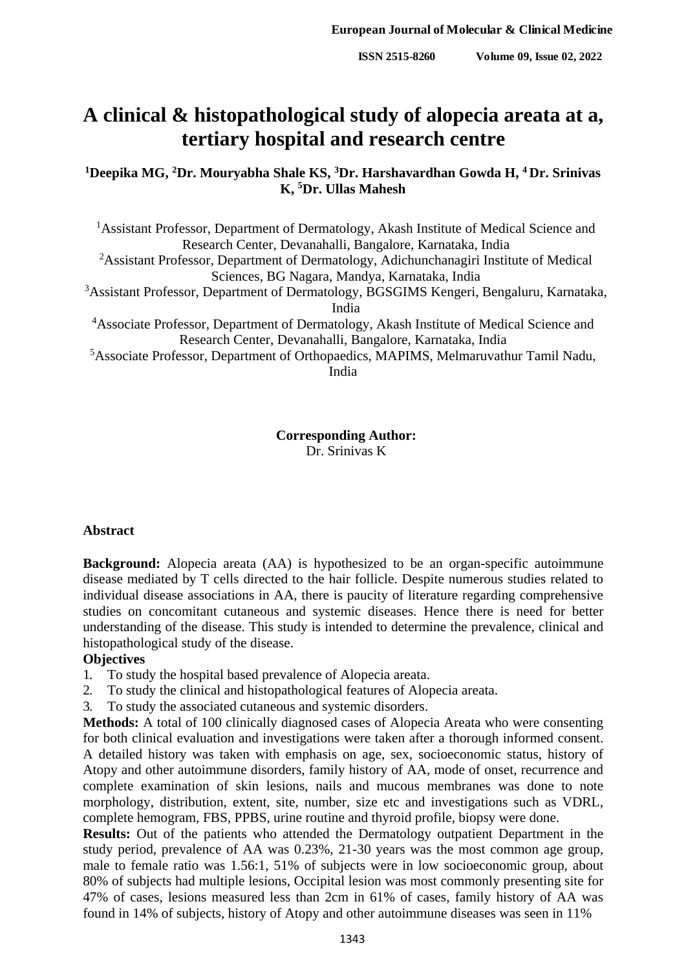# **A clinical & histopathological study of alopecia areata at a, tertiary hospital and research centre**

**<sup>1</sup>Deepika MG, <sup>2</sup>Dr. Mouryabha Shale KS, <sup>3</sup>Dr. Harshavardhan Gowda H, <sup>4</sup> Dr. Srinivas K, <sup>5</sup>Dr. Ullas Mahesh**

<sup>1</sup>Assistant Professor, Department of Dermatology, Akash Institute of Medical Science and Research Center, Devanahalli, Bangalore, Karnataka, India

<sup>2</sup>Assistant Professor, Department of Dermatology, Adichunchanagiri Institute of Medical Sciences, BG Nagara, Mandya, Karnataka, India

<sup>3</sup>Assistant Professor, Department of Dermatology, BGSGIMS Kengeri, Bengaluru, Karnataka, India

<sup>4</sup>Associate Professor, Department of Dermatology, Akash Institute of Medical Science and Research Center, Devanahalli, Bangalore, Karnataka, India

<sup>5</sup>Associate Professor, Department of Orthopaedics, MAPIMS, Melmaruvathur Tamil Nadu, India

#### **Corresponding Author:** Dr. Srinivas K

#### **Abstract**

**Background:** Alopecia areata (AA) is hypothesized to be an organ-specific autoimmune disease mediated by T cells directed to the hair follicle. Despite numerous studies related to individual disease associations in AA, there is paucity of literature regarding comprehensive studies on concomitant cutaneous and systemic diseases. Hence there is need for better understanding of the disease. This study is intended to determine the prevalence, clinical and histopathological study of the disease.

# **Objectives**

- 1. To study the hospital based prevalence of Alopecia areata.
- 2. To study the clinical and histopathological features of Alopecia areata.
- 3. To study the associated cutaneous and systemic disorders.

**Methods:** A total of 100 clinically diagnosed cases of Alopecia Areata who were consenting for both clinical evaluation and investigations were taken after a thorough informed consent. A detailed history was taken with emphasis on age, sex, socioeconomic status, history of Atopy and other autoimmune disorders, family history of AA, mode of onset, recurrence and complete examination of skin lesions, nails and mucous membranes was done to note morphology, distribution, extent, site, number, size etc and investigations such as VDRL, complete hemogram, FBS, PPBS, urine routine and thyroid profile, biopsy were done.

**Results:** Out of the patients who attended the Dermatology outpatient Department in the study period, prevalence of AA was 0.23%, 21-30 years was the most common age group, male to female ratio was 1.56:1, 51% of subjects were in low socioeconomic group, about 80% of subjects had multiple lesions, Occipital lesion was most commonly presenting site for 47% of cases, lesions measured less than 2cm in 61% of cases, family history of AA was found in 14% of subjects, history of Atopy and other autoimmune diseases was seen in 11%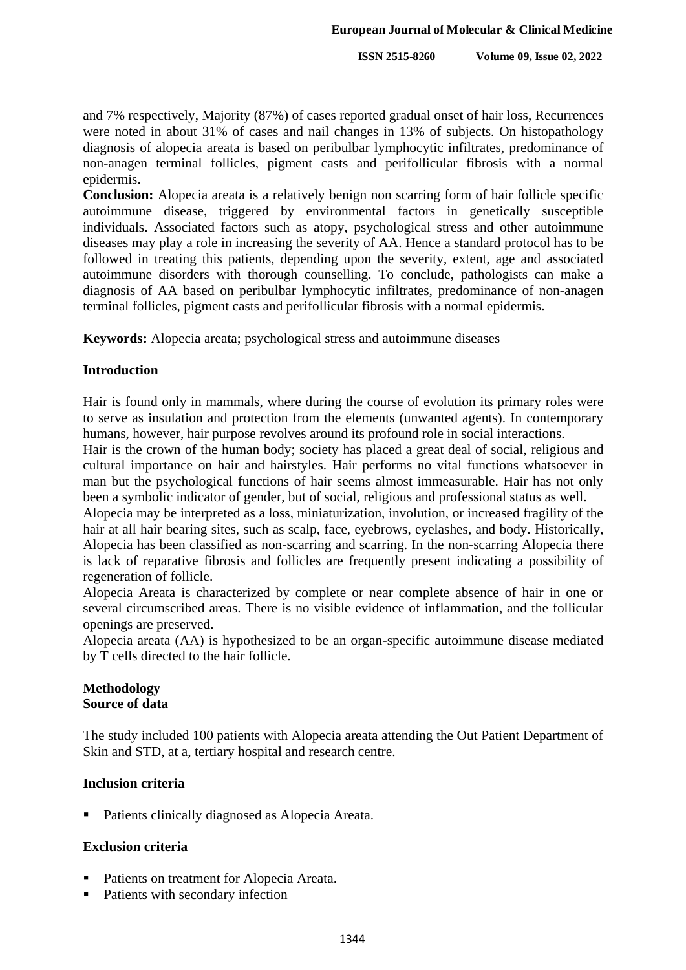and 7% respectively, Majority (87%) of cases reported gradual onset of hair loss, Recurrences were noted in about 31% of cases and nail changes in 13% of subjects. On histopathology diagnosis of alopecia areata is based on peribulbar lymphocytic infiltrates, predominance of non-anagen terminal follicles, pigment casts and perifollicular fibrosis with a normal epidermis.

**Conclusion:** Alopecia areata is a relatively benign non scarring form of hair follicle specific autoimmune disease, triggered by environmental factors in genetically susceptible individuals. Associated factors such as atopy, psychological stress and other autoimmune diseases may play a role in increasing the severity of AA. Hence a standard protocol has to be followed in treating this patients, depending upon the severity, extent, age and associated autoimmune disorders with thorough counselling. To conclude, pathologists can make a diagnosis of AA based on peribulbar lymphocytic infiltrates, predominance of non-anagen terminal follicles, pigment casts and perifollicular fibrosis with a normal epidermis.

**Keywords:** Alopecia areata; psychological stress and autoimmune diseases

# **Introduction**

Hair is found only in mammals, where during the course of evolution its primary roles were to serve as insulation and protection from the elements (unwanted agents). In contemporary humans, however, hair purpose revolves around its profound role in social interactions.

Hair is the crown of the human body; society has placed a great deal of social, religious and cultural importance on hair and hairstyles. Hair performs no vital functions whatsoever in man but the psychological functions of hair seems almost immeasurable. Hair has not only been a symbolic indicator of gender, but of social, religious and professional status as well.

Alopecia may be interpreted as a loss, miniaturization, involution, or increased fragility of the hair at all hair bearing sites, such as scalp, face, eyebrows, eyelashes, and body. Historically, Alopecia has been classified as non-scarring and scarring. In the non-scarring Alopecia there is lack of reparative fibrosis and follicles are frequently present indicating a possibility of regeneration of follicle.

Alopecia Areata is characterized by complete or near complete absence of hair in one or several circumscribed areas. There is no visible evidence of inflammation, and the follicular openings are preserved.

Alopecia areata (AA) is hypothesized to be an organ-specific autoimmune disease mediated by T cells directed to the hair follicle.

# **Methodology Source of data**

The study included 100 patients with Alopecia areata attending the Out Patient Department of Skin and STD, at a, tertiary hospital and research centre.

### **Inclusion criteria**

Patients clinically diagnosed as Alopecia Areata.

#### **Exclusion criteria**

- Patients on treatment for Alopecia Areata.
- Patients with secondary infection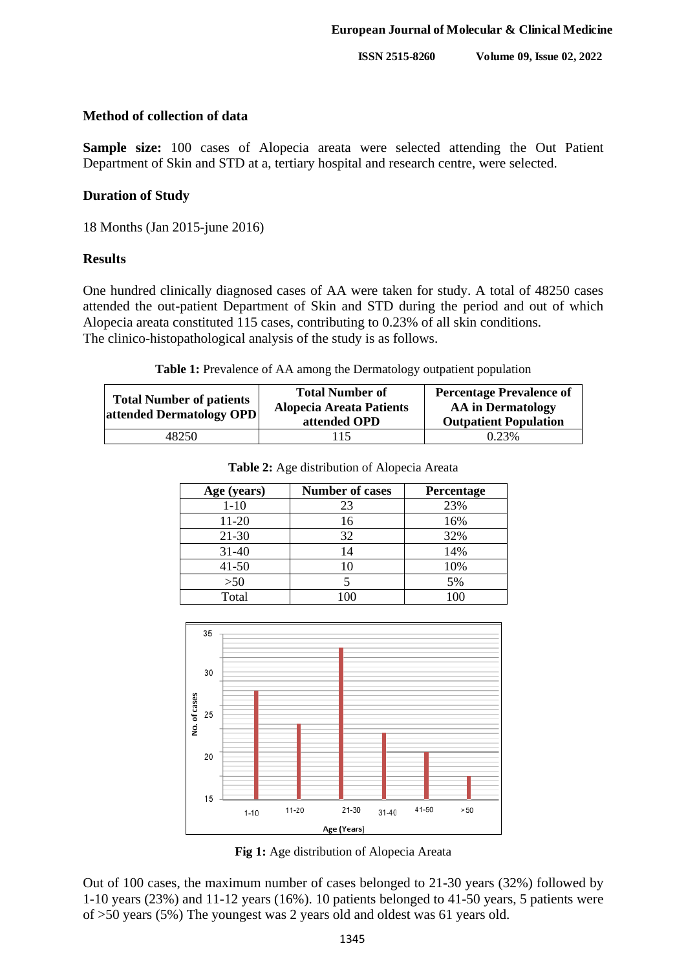**ISSN 2515-8260 Volume 09, Issue 02, 2022**

# **Method of collection of data**

**Sample size:** 100 cases of Alopecia areata were selected attending the Out Patient Department of Skin and STD at a, tertiary hospital and research centre, were selected.

# **Duration of Study**

18 Months (Jan 2015-june 2016)

# **Results**

One hundred clinically diagnosed cases of AA were taken for study. A total of 48250 cases attended the out-patient Department of Skin and STD during the period and out of which Alopecia areata constituted 115 cases, contributing to 0.23% of all skin conditions. The clinico-histopathological analysis of the study is as follows.

| Table 1: Prevalence of AA among the Dermatology outpatient population |  |  |  |
|-----------------------------------------------------------------------|--|--|--|
|                                                                       |  |  |  |

| <b>Total Number of patients</b><br>attended Dermatology OPD | <b>Total Number of</b><br><b>Alopecia Areata Patients</b><br>attended OPD | <b>Percentage Prevalence of</b><br><b>AA</b> in Dermatology<br><b>Outpatient Population</b> |
|-------------------------------------------------------------|---------------------------------------------------------------------------|---------------------------------------------------------------------------------------------|
| 48250                                                       | 115                                                                       | 0.23%                                                                                       |

| Age (years) | <b>Number of cases</b> | Percentage |
|-------------|------------------------|------------|
| $1 - 10$    | 23                     | 23%        |
| $11 - 20$   | 16                     | 16%        |
| $21 - 30$   | 32                     | 32%        |
| $31 - 40$   | 14                     | 14%        |
| $41 - 50$   | 10                     | 10%        |
| $>50$       |                        | 5%         |
| Total       | $\alpha$               | 100        |

**Table 2:** Age distribution of Alopecia Areata



**Fig 1:** Age distribution of Alopecia Areata

Out of 100 cases, the maximum number of cases belonged to 21-30 years (32%) followed by 1-10 years (23%) and 11-12 years (16%). 10 patients belonged to 41-50 years, 5 patients were of >50 years (5%) The youngest was 2 years old and oldest was 61 years old.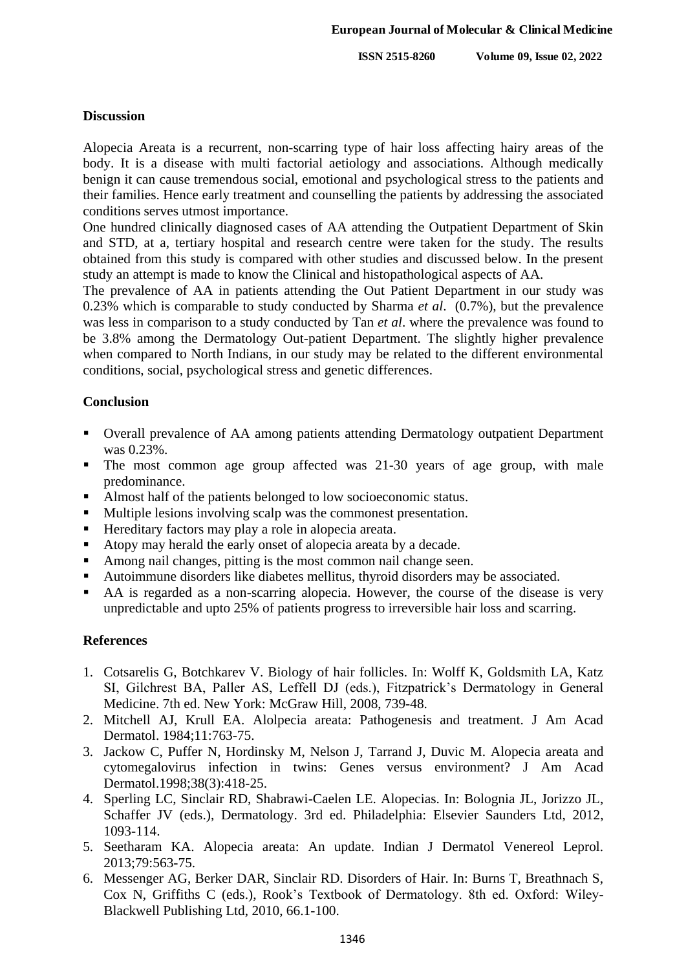**ISSN 2515-8260 Volume 09, Issue 02, 2022**

# **Discussion**

Alopecia Areata is a recurrent, non-scarring type of hair loss affecting hairy areas of the body. It is a disease with multi factorial aetiology and associations. Although medically benign it can cause tremendous social, emotional and psychological stress to the patients and their families. Hence early treatment and counselling the patients by addressing the associated conditions serves utmost importance.

One hundred clinically diagnosed cases of AA attending the Outpatient Department of Skin and STD, at a, tertiary hospital and research centre were taken for the study. The results obtained from this study is compared with other studies and discussed below. In the present study an attempt is made to know the Clinical and histopathological aspects of AA.

The prevalence of AA in patients attending the Out Patient Department in our study was 0.23% which is comparable to study conducted by Sharma *et al*. (0.7%), but the prevalence was less in comparison to a study conducted by Tan *et al*. where the prevalence was found to be 3.8% among the Dermatology Out-patient Department. The slightly higher prevalence when compared to North Indians, in our study may be related to the different environmental conditions, social, psychological stress and genetic differences.

# **Conclusion**

- Overall prevalence of AA among patients attending Dermatology outpatient Department was 0.23%.
- The most common age group affected was 21-30 years of age group, with male predominance.
- Almost half of the patients belonged to low socioeconomic status.
- **Multiple lesions involving scalp was the commonest presentation.**
- Hereditary factors may play a role in alopecia areata.
- Atopy may herald the early onset of alopecia areata by a decade.
- Among nail changes, pitting is the most common nail change seen.
- Autoimmune disorders like diabetes mellitus, thyroid disorders may be associated.
- AA is regarded as a non-scarring alopecia. However, the course of the disease is very unpredictable and upto 25% of patients progress to irreversible hair loss and scarring.

# **References**

- 1. Cotsarelis G, Botchkarev V. Biology of hair follicles. In: Wolff K, Goldsmith LA, Katz SI, Gilchrest BA, Paller AS, Leffell DJ (eds.), Fitzpatrick's Dermatology in General Medicine. 7th ed. New York: McGraw Hill, 2008, 739-48.
- 2. Mitchell AJ, Krull EA. Alolpecia areata: Pathogenesis and treatment. J Am Acad Dermatol. 1984;11:763-75.
- 3. Jackow C, Puffer N, Hordinsky M, Nelson J, Tarrand J, Duvic M. Alopecia areata and cytomegalovirus infection in twins: Genes versus environment? J Am Acad Dermatol.1998;38(3):418-25.
- 4. Sperling LC, Sinclair RD, Shabrawi-Caelen LE. Alopecias. In: Bolognia JL, Jorizzo JL, Schaffer JV (eds.), Dermatology. 3rd ed. Philadelphia: Elsevier Saunders Ltd, 2012, 1093-114.
- 5. Seetharam KA. Alopecia areata: An update. Indian J Dermatol Venereol Leprol. 2013;79:563-75.
- 6. Messenger AG, Berker DAR, Sinclair RD. Disorders of Hair. In: Burns T, Breathnach S, Cox N, Griffiths C (eds.), Rook's Textbook of Dermatology. 8th ed. Oxford: Wiley-Blackwell Publishing Ltd, 2010, 66.1-100.